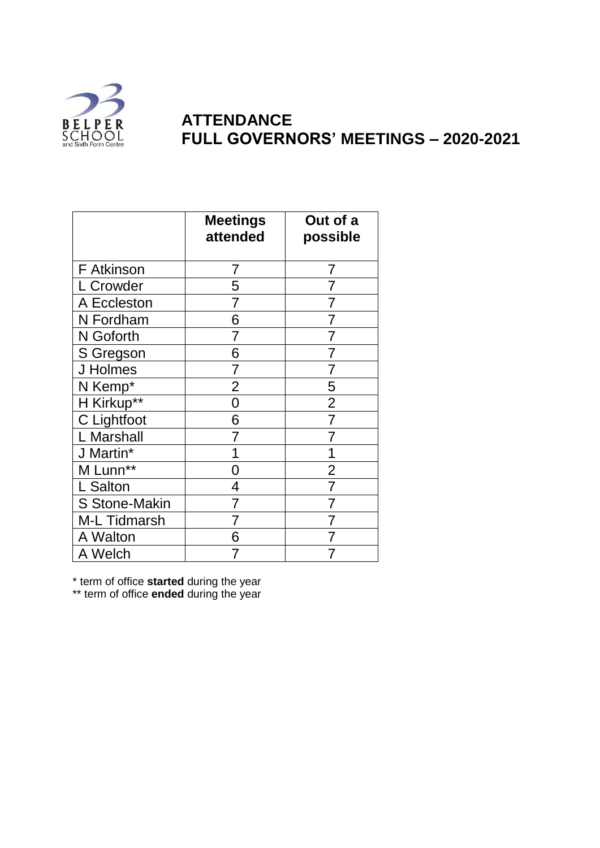

## **ATTENDANCE FULL GOVERNORS' MEETINGS – 2020-2021**

|                      | <b>Meetings</b><br>attended | Out of a<br>possible |
|----------------------|-----------------------------|----------------------|
| F Atkinson           | 7                           | 7                    |
| L Crowder            | 5                           | 7                    |
| A Eccleston          | 7                           | 7                    |
| N Fordham            | 6                           | 7                    |
| N Goforth            | 7                           | 7                    |
| S Gregson            | 6                           | 7                    |
| J Holmes             | 7                           | 7                    |
| N Kemp*              | $\overline{2}$              | 5                    |
| H Kirkup**           | 0                           | $\overline{2}$       |
| C Lightfoot          | 6                           | 7                    |
| L Marshall           |                             |                      |
| J Martin*            |                             | 1                    |
| M Lunn**             | 0                           | $\overline{2}$       |
| L Salton             | 4                           | 7                    |
| <b>S Stone-Makin</b> | 7                           | 7                    |
| <b>M-L Tidmarsh</b>  | 7                           | 7                    |
| A Walton             | 6                           | 7                    |
| A Welch              | 7                           | 7                    |

\* term of office **started** during the year

\*\* term of office **ended** during the year